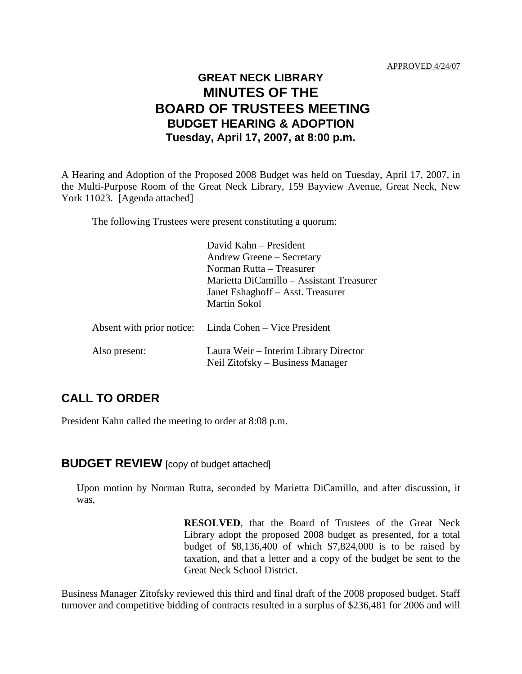### **GREAT NECK LIBRARY MINUTES OF THE BOARD OF TRUSTEES MEETING BUDGET HEARING & ADOPTION Tuesday, April 17, 2007, at 8:00 p.m.**

A Hearing and Adoption of the Proposed 2008 Budget was held on Tuesday, April 17, 2007, in the Multi-Purpose Room of the Great Neck Library, 159 Bayview Avenue, Great Neck, New York 11023. [Agenda attached]

The following Trustees were present constituting a quorum:

|               | David Kahn – President<br>Andrew Greene – Secretary<br>Norman Rutta – Treasurer<br>Marietta DiCamillo – Assistant Treasurer<br>Janet Eshaghoff – Asst. Treasurer<br><b>Martin Sokol</b> |
|---------------|-----------------------------------------------------------------------------------------------------------------------------------------------------------------------------------------|
|               | Absent with prior notice: Linda Cohen – Vice President                                                                                                                                  |
| Also present: | Laura Weir – Interim Library Director<br>Neil Zitofsky - Business Manager                                                                                                               |

### **CALL TO ORDER**

President Kahn called the meeting to order at 8:08 p.m.

#### **BUDGET REVIEW** [copy of budget attached]

Upon motion by Norman Rutta, seconded by Marietta DiCamillo, and after discussion, it was,

> **RESOLVED**, that the Board of Trustees of the Great Neck Library adopt the proposed 2008 budget as presented, for a total budget of \$8,136,400 of which \$7,824,000 is to be raised by taxation, and that a letter and a copy of the budget be sent to the Great Neck School District.

Business Manager Zitofsky reviewed this third and final draft of the 2008 proposed budget. Staff turnover and competitive bidding of contracts resulted in a surplus of \$236,481 for 2006 and will